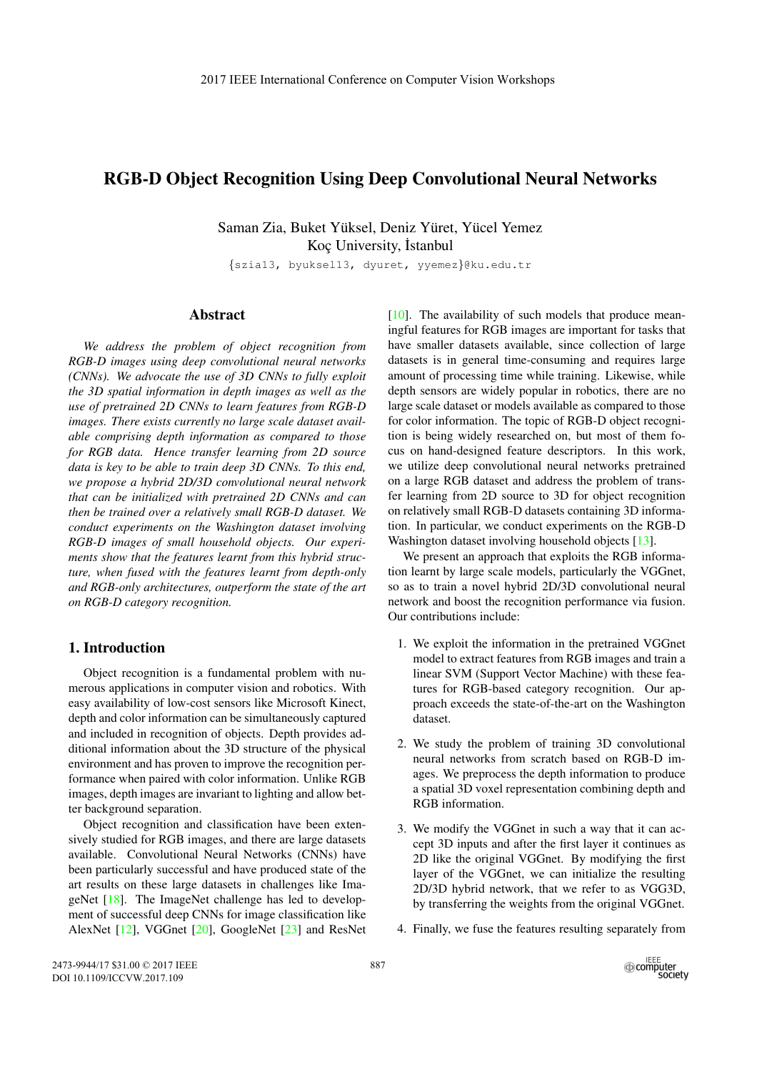# RGB-D Object Recognition Using Deep Convolutional Neural Networks

Saman Zia, Buket Yüksel, Deniz Yüret, Yücel Yemez Koc University, İstanbul

*{*szia13, byuksel13, dyuret, yyemez*}*@ku.edu.tr

## Abstract

*We address the problem of object recognition from RGB-D images using deep convolutional neural networks (CNNs). We advocate the use of 3D CNNs to fully exploit the 3D spatial information in depth images as well as the use of pretrained 2D CNNs to learn features from RGB-D images. There exists currently no large scale dataset available comprising depth information as compared to those for RGB data. Hence transfer learning from 2D source data is key to be able to train deep 3D CNNs. To this end, we propose a hybrid 2D/3D convolutional neural network that can be initialized with pretrained 2D CNNs and can then be trained over a relatively small RGB-D dataset. We conduct experiments on the Washington dataset involving RGB-D images of small household objects. Our experiments show that the features learnt from this hybrid structure, when fused with the features learnt from depth-only and RGB-only architectures, outperform the state of the art on RGB-D category recognition.*

# 1. Introduction

Object recognition is a fundamental problem with numerous applications in computer vision and robotics. With easy availability of low-cost sensors like Microsoft Kinect, depth and color information can be simultaneously captured and included in recognition of objects. Depth provides additional information about the 3D structure of the physical environment and has proven to improve the recognition performance when paired with color information. Unlike RGB images, depth images are invariant to lighting and allow better background separation.

Object recognition and classification have been extensively studied for RGB images, and there are large datasets available. Convolutional Neural Networks (CNNs) have been particularly successful and have produced state of the art results on these large datasets in challenges like ImageNet [18]. The ImageNet challenge has led to development of successful deep CNNs for image classification like AlexNet [12], VGGnet [20], GoogleNet [23] and ResNet [10]. The availability of such models that produce meaningful features for RGB images are important for tasks that have smaller datasets available, since collection of large datasets is in general time-consuming and requires large amount of processing time while training. Likewise, while depth sensors are widely popular in robotics, there are no large scale dataset or models available as compared to those for color information. The topic of RGB-D object recognition is being widely researched on, but most of them focus on hand-designed feature descriptors. In this work, we utilize deep convolutional neural networks pretrained on a large RGB dataset and address the problem of transfer learning from 2D source to 3D for object recognition on relatively small RGB-D datasets containing 3D information. In particular, we conduct experiments on the RGB-D Washington dataset involving household objects [13].

We present an approach that exploits the RGB information learnt by large scale models, particularly the VGGnet, so as to train a novel hybrid 2D/3D convolutional neural network and boost the recognition performance via fusion. Our contributions include:

- 1. We exploit the information in the pretrained VGGnet model to extract features from RGB images and train a linear SVM (Support Vector Machine) with these features for RGB-based category recognition. Our approach exceeds the state-of-the-art on the Washington dataset.
- 2. We study the problem of training 3D convolutional neural networks from scratch based on RGB-D images. We preprocess the depth information to produce a spatial 3D voxel representation combining depth and RGB information.
- 3. We modify the VGGnet in such a way that it can accept 3D inputs and after the first layer it continues as 2D like the original VGGnet. By modifying the first layer of the VGGnet, we can initialize the resulting 2D/3D hybrid network, that we refer to as VGG3D, by transferring the weights from the original VGGnet.
- 4. Finally, we fuse the features resulting separately from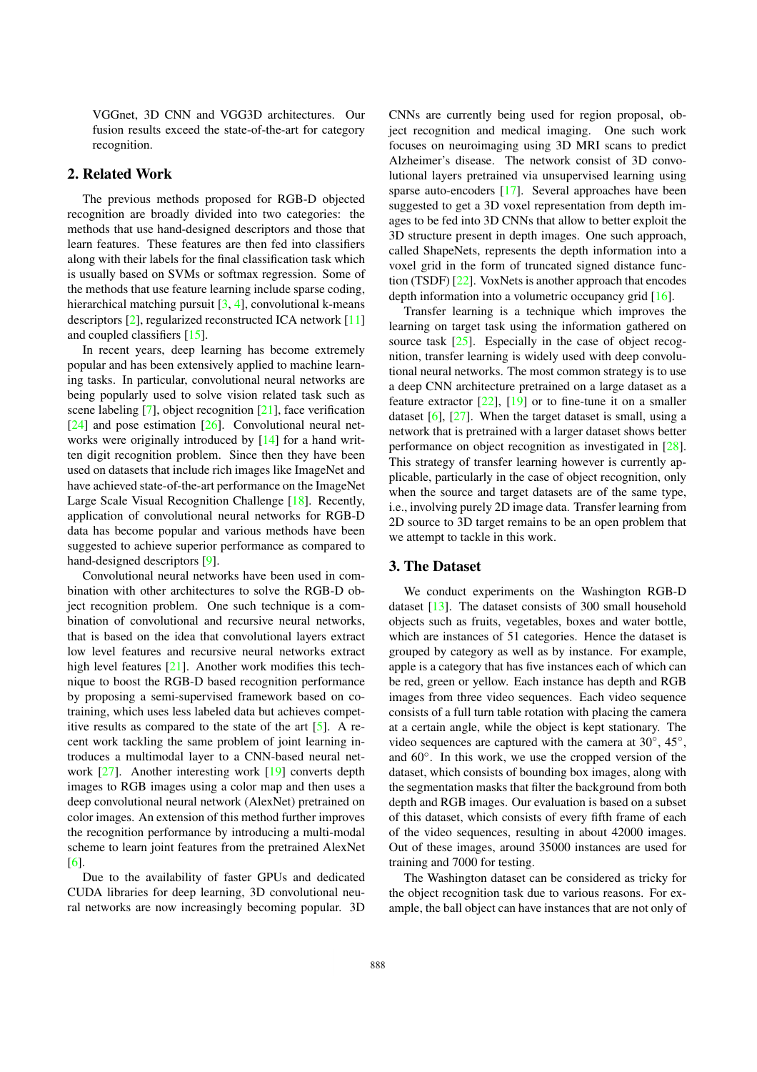VGGnet, 3D CNN and VGG3D architectures. Our fusion results exceed the state-of-the-art for category recognition.

#### 2. Related Work

The previous methods proposed for RGB-D objected recognition are broadly divided into two categories: the methods that use hand-designed descriptors and those that learn features. These features are then fed into classifiers along with their labels for the final classification task which is usually based on SVMs or softmax regression. Some of the methods that use feature learning include sparse coding, hierarchical matching pursuit [3, 4], convolutional k-means descriptors [2], regularized reconstructed ICA network [11] and coupled classifiers [15].

In recent years, deep learning has become extremely popular and has been extensively applied to machine learning tasks. In particular, convolutional neural networks are being popularly used to solve vision related task such as scene labeling [7], object recognition [21], face verification [24] and pose estimation [26]. Convolutional neural networks were originally introduced by [14] for a hand written digit recognition problem. Since then they have been used on datasets that include rich images like ImageNet and have achieved state-of-the-art performance on the ImageNet Large Scale Visual Recognition Challenge [18]. Recently, application of convolutional neural networks for RGB-D data has become popular and various methods have been suggested to achieve superior performance as compared to hand-designed descriptors [9].

Convolutional neural networks have been used in combination with other architectures to solve the RGB-D object recognition problem. One such technique is a combination of convolutional and recursive neural networks, that is based on the idea that convolutional layers extract low level features and recursive neural networks extract high level features [21]. Another work modifies this technique to boost the RGB-D based recognition performance by proposing a semi-supervised framework based on cotraining, which uses less labeled data but achieves competitive results as compared to the state of the art [5]. A recent work tackling the same problem of joint learning introduces a multimodal layer to a CNN-based neural network [27]. Another interesting work [19] converts depth images to RGB images using a color map and then uses a deep convolutional neural network (AlexNet) pretrained on color images. An extension of this method further improves the recognition performance by introducing a multi-modal scheme to learn joint features from the pretrained AlexNet [6].

Due to the availability of faster GPUs and dedicated CUDA libraries for deep learning, 3D convolutional neural networks are now increasingly becoming popular. 3D CNNs are currently being used for region proposal, object recognition and medical imaging. One such work focuses on neuroimaging using 3D MRI scans to predict Alzheimer's disease. The network consist of 3D convolutional layers pretrained via unsupervised learning using sparse auto-encoders [17]. Several approaches have been suggested to get a 3D voxel representation from depth images to be fed into 3D CNNs that allow to better exploit the 3D structure present in depth images. One such approach, called ShapeNets, represents the depth information into a voxel grid in the form of truncated signed distance function (TSDF) [22]. VoxNets is another approach that encodes depth information into a volumetric occupancy grid [16].

Transfer learning is a technique which improves the learning on target task using the information gathered on source task  $[25]$ . Especially in the case of object recognition, transfer learning is widely used with deep convolutional neural networks. The most common strategy is to use a deep CNN architecture pretrained on a large dataset as a feature extractor  $[22]$ ,  $[19]$  or to fine-tune it on a smaller dataset [6], [27]. When the target dataset is small, using a network that is pretrained with a larger dataset shows better performance on object recognition as investigated in [28]. This strategy of transfer learning however is currently applicable, particularly in the case of object recognition, only when the source and target datasets are of the same type, i.e., involving purely 2D image data. Transfer learning from 2D source to 3D target remains to be an open problem that we attempt to tackle in this work.

# 3. The Dataset

We conduct experiments on the Washington RGB-D dataset [13]. The dataset consists of 300 small household objects such as fruits, vegetables, boxes and water bottle, which are instances of 51 categories. Hence the dataset is grouped by category as well as by instance. For example, apple is a category that has five instances each of which can be red, green or yellow. Each instance has depth and RGB images from three video sequences. Each video sequence consists of a full turn table rotation with placing the camera at a certain angle, while the object is kept stationary. The video sequences are captured with the camera at 30◦, 45◦, and 60◦. In this work, we use the cropped version of the dataset, which consists of bounding box images, along with the segmentation masks that filter the background from both depth and RGB images. Our evaluation is based on a subset of this dataset, which consists of every fifth frame of each of the video sequences, resulting in about 42000 images. Out of these images, around 35000 instances are used for training and 7000 for testing.

The Washington dataset can be considered as tricky for the object recognition task due to various reasons. For example, the ball object can have instances that are not only of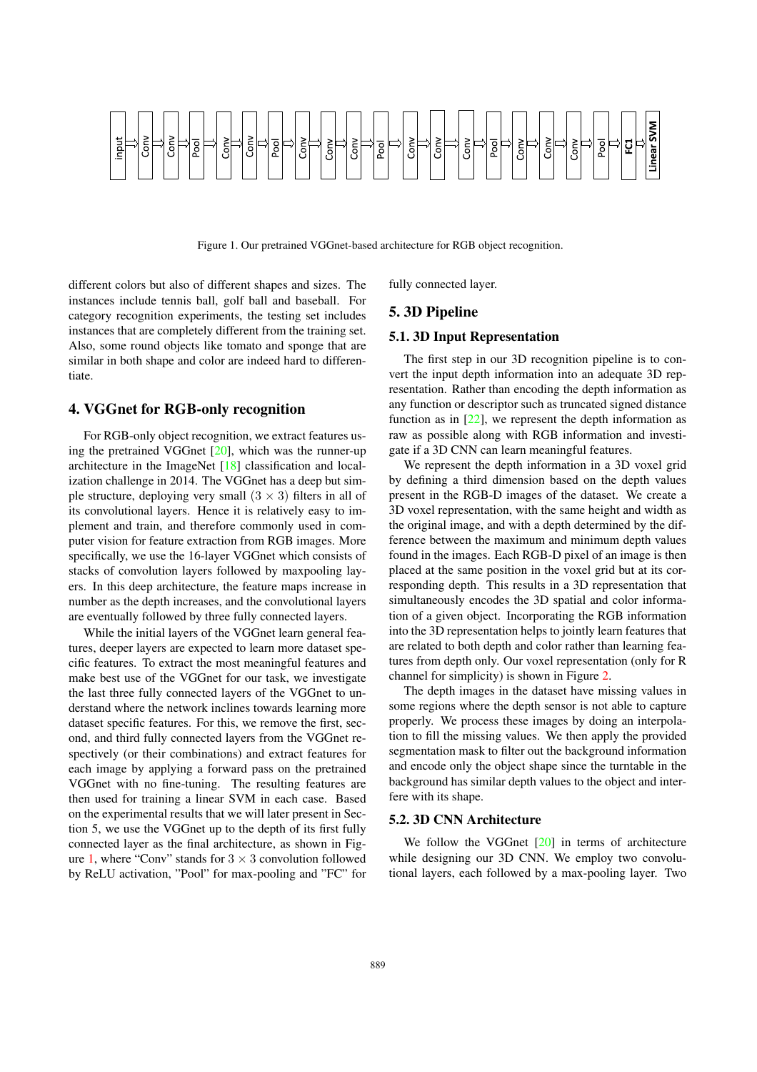

Figure 1. Our pretrained VGGnet-based architecture for RGB object recognition.

different colors but also of different shapes and sizes. The instances include tennis ball, golf ball and baseball. For category recognition experiments, the testing set includes instances that are completely different from the training set. Also, some round objects like tomato and sponge that are similar in both shape and color are indeed hard to differentiate.

### 4. VGGnet for RGB-only recognition

For RGB-only object recognition, we extract features using the pretrained VGGnet [20], which was the runner-up architecture in the ImageNet [18] classification and localization challenge in 2014. The VGGnet has a deep but simple structure, deploying very small  $(3 \times 3)$  filters in all of its convolutional layers. Hence it is relatively easy to implement and train, and therefore commonly used in computer vision for feature extraction from RGB images. More specifically, we use the 16-layer VGGnet which consists of stacks of convolution layers followed by maxpooling layers. In this deep architecture, the feature maps increase in number as the depth increases, and the convolutional layers are eventually followed by three fully connected layers.

While the initial layers of the VGGnet learn general features, deeper layers are expected to learn more dataset specific features. To extract the most meaningful features and make best use of the VGGnet for our task, we investigate the last three fully connected layers of the VGGnet to understand where the network inclines towards learning more dataset specific features. For this, we remove the first, second, and third fully connected layers from the VGGnet respectively (or their combinations) and extract features for each image by applying a forward pass on the pretrained VGGnet with no fine-tuning. The resulting features are then used for training a linear SVM in each case. Based on the experimental results that we will later present in Section 5, we use the VGGnet up to the depth of its first fully connected layer as the final architecture, as shown in Figure 1, where "Conv" stands for  $3 \times 3$  convolution followed by ReLU activation, "Pool" for max-pooling and "FC" for

fully connected layer.

# 5. 3D Pipeline

## 5.1. 3D Input Representation

The first step in our 3D recognition pipeline is to convert the input depth information into an adequate 3D representation. Rather than encoding the depth information as any function or descriptor such as truncated signed distance function as in  $[22]$ , we represent the depth information as raw as possible along with RGB information and investigate if a 3D CNN can learn meaningful features.

We represent the depth information in a 3D voxel grid by defining a third dimension based on the depth values present in the RGB-D images of the dataset. We create a 3D voxel representation, with the same height and width as the original image, and with a depth determined by the difference between the maximum and minimum depth values found in the images. Each RGB-D pixel of an image is then placed at the same position in the voxel grid but at its corresponding depth. This results in a 3D representation that simultaneously encodes the 3D spatial and color information of a given object. Incorporating the RGB information into the 3D representation helps to jointly learn features that are related to both depth and color rather than learning features from depth only. Our voxel representation (only for R channel for simplicity) is shown in Figure 2.

The depth images in the dataset have missing values in some regions where the depth sensor is not able to capture properly. We process these images by doing an interpolation to fill the missing values. We then apply the provided segmentation mask to filter out the background information and encode only the object shape since the turntable in the background has similar depth values to the object and interfere with its shape.

#### 5.2. 3D CNN Architecture

We follow the VGGnet [20] in terms of architecture while designing our 3D CNN. We employ two convolutional layers, each followed by a max-pooling layer. Two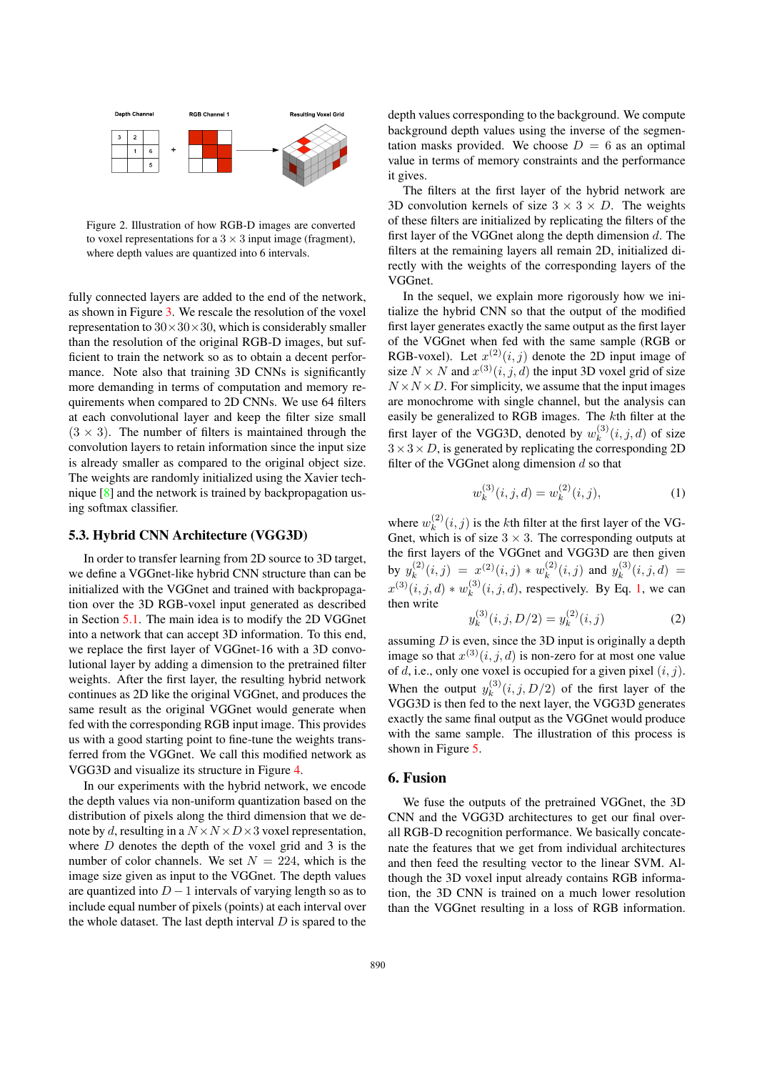

Figure 2. Illustration of how RGB-D images are converted to voxel representations for a  $3 \times 3$  input image (fragment), where depth values are quantized into 6 intervals.

fully connected layers are added to the end of the network, as shown in Figure 3. We rescale the resolution of the voxel representation to  $30 \times 30 \times 30$ , which is considerably smaller than the resolution of the original RGB-D images, but sufficient to train the network so as to obtain a decent performance. Note also that training 3D CNNs is significantly more demanding in terms of computation and memory requirements when compared to 2D CNNs. We use 64 filters at each convolutional layer and keep the filter size small  $(3 \times 3)$ . The number of filters is maintained through the convolution layers to retain information since the input size is already smaller as compared to the original object size. The weights are randomly initialized using the Xavier technique [8] and the network is trained by backpropagation using softmax classifier.

### 5.3. Hybrid CNN Architecture (VGG3D)

In order to transfer learning from 2D source to 3D target, we define a VGGnet-like hybrid CNN structure than can be initialized with the VGGnet and trained with backpropagation over the 3D RGB-voxel input generated as described in Section 5.1. The main idea is to modify the 2D VGGnet into a network that can accept 3D information. To this end, we replace the first layer of VGGnet-16 with a 3D convolutional layer by adding a dimension to the pretrained filter weights. After the first layer, the resulting hybrid network continues as 2D like the original VGGnet, and produces the same result as the original VGGnet would generate when fed with the corresponding RGB input image. This provides us with a good starting point to fine-tune the weights transferred from the VGGnet. We call this modified network as VGG3D and visualize its structure in Figure 4.

In our experiments with the hybrid network, we encode the depth values via non-uniform quantization based on the distribution of pixels along the third dimension that we denote by *d*, resulting in a  $N \times N \times D \times 3$  voxel representation, where *D* denotes the depth of the voxel grid and 3 is the number of color channels. We set  $N = 224$ , which is the image size given as input to the VGGnet. The depth values are quantized into  $D-1$  intervals of varying length so as to include equal number of pixels (points) at each interval over the whole dataset. The last depth interval *D* is spared to the

depth values corresponding to the background. We compute background depth values using the inverse of the segmentation masks provided. We choose  $D = 6$  as an optimal value in terms of memory constraints and the performance it gives.

The filters at the first layer of the hybrid network are 3D convolution kernels of size  $3 \times 3 \times D$ . The weights of these filters are initialized by replicating the filters of the first layer of the VGGnet along the depth dimension *d*. The filters at the remaining layers all remain 2D, initialized directly with the weights of the corresponding layers of the VGGnet.

In the sequel, we explain more rigorously how we initialize the hybrid CNN so that the output of the modified first layer generates exactly the same output as the first layer of the VGGnet when fed with the same sample (RGB or RGB-voxel). Let  $x^{(2)}(i, j)$  denote the 2D input image of size  $N \times N$  and  $x^{(3)}(i, j, d)$  the input 3D voxel grid of size  $N \times N \times D$ . For simplicity, we assume that the input images are monochrome with single channel, but the analysis can easily be generalized to RGB images. The *k*th filter at the first layer of the VGG3D, denoted by  $w_k^{(3)}(i, j, d)$  of size  $3 \times 3 \times D$ , is generated by replicating the corresponding 2D filter of the VGGnet along dimension *d* so that

$$
w_k^{(3)}(i,j,d) = w_k^{(2)}(i,j),
$$
\n(1)

where  $w_k^{(2)}(i,j)$  is the *k*th filter at the first layer of the VG-Gnet, which is of size  $3 \times 3$ . The corresponding outputs at the first layers of the VGGnet and VGG3D are then given by  $y_k^{(2)}(i,j) = x^{(2)}(i,j) * w_k^{(2)}(i,j)$  and  $y_k^{(3)}(i,j,d) = y_k^{(3)}(i,j)$  $x^{(3)}(i, j, d) * w_k^{(3)}(i, j, d)$ , respectively. By Eq. 1, we can then write

$$
y_k^{(3)}(i,j,D/2) = y_k^{(2)}(i,j)
$$
 (2)

assuming *D* is even, since the 3D input is originally a depth image so that  $x^{(3)}(i, j, d)$  is non-zero for at most one value of *d*, i.e., only one voxel is occupied for a given pixel (*i, j*). When the output  $y_k^{(3)}(i, j, D/2)$  of the first layer of the VGG3D is then fed to the next layer, the VGG3D generates exactly the same final output as the VGGnet would produce with the same sample. The illustration of this process is shown in Figure 5.

#### 6. Fusion

We fuse the outputs of the pretrained VGGnet, the 3D CNN and the VGG3D architectures to get our final overall RGB-D recognition performance. We basically concatenate the features that we get from individual architectures and then feed the resulting vector to the linear SVM. Although the 3D voxel input already contains RGB information, the 3D CNN is trained on a much lower resolution than the VGGnet resulting in a loss of RGB information.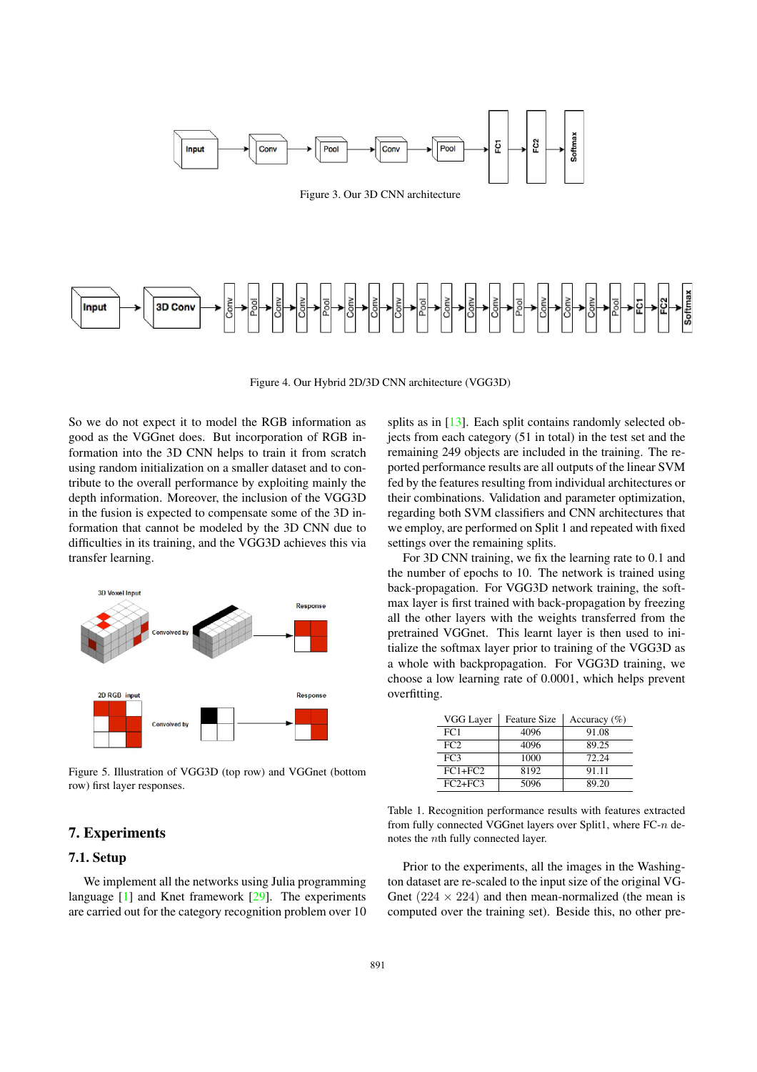

3D Conv Input

Figure 4. Our Hybrid 2D/3D CNN architecture (VGG3D)

So we do not expect it to model the RGB information as good as the VGGnet does. But incorporation of RGB information into the 3D CNN helps to train it from scratch using random initialization on a smaller dataset and to contribute to the overall performance by exploiting mainly the depth information. Moreover, the inclusion of the VGG3D in the fusion is expected to compensate some of the 3D information that cannot be modeled by the 3D CNN due to difficulties in its training, and the VGG3D achieves this via transfer learning.



Figure 5. Illustration of VGG3D (top row) and VGGnet (bottom row) first layer responses.

# 7. Experiments

# 7.1. Setup

We implement all the networks using Julia programming language [1] and Knet framework [29]. The experiments are carried out for the category recognition problem over 10

splits as in [13]. Each split contains randomly selected objects from each category (51 in total) in the test set and the remaining 249 objects are included in the training. The reported performance results are all outputs of the linear SVM fed by the features resulting from individual architectures or their combinations. Validation and parameter optimization, regarding both SVM classifiers and CNN architectures that we employ, are performed on Split 1 and repeated with fixed settings over the remaining splits.

For 3D CNN training, we fix the learning rate to 0.1 and the number of epochs to 10. The network is trained using back-propagation. For VGG3D network training, the softmax layer is first trained with back-propagation by freezing all the other layers with the weights transferred from the pretrained VGGnet. This learnt layer is then used to initialize the softmax layer prior to training of the VGG3D as a whole with backpropagation. For VGG3D training, we choose a low learning rate of 0.0001, which helps prevent overfitting.

| VGG Layer       | <b>Feature Size</b> | Accuracy $(\% )$ |
|-----------------|---------------------|------------------|
| FC1             | 4096                | 91.08            |
| FC2             | 4096                | 89.25            |
| FC <sub>3</sub> | 1000                | 72.24            |
| $FC1 + FC2$     | 8192                | 91.11            |
| $FC2 + FC3$     | 5096                | 89.20            |

Table 1. Recognition performance results with features extracted from fully connected VGGnet layers over Split1, where FC-*n* denotes the *n*th fully connected layer.

Prior to the experiments, all the images in the Washington dataset are re-scaled to the input size of the original VG-Gnet  $(224 \times 224)$  and then mean-normalized (the mean is computed over the training set). Beside this, no other pre-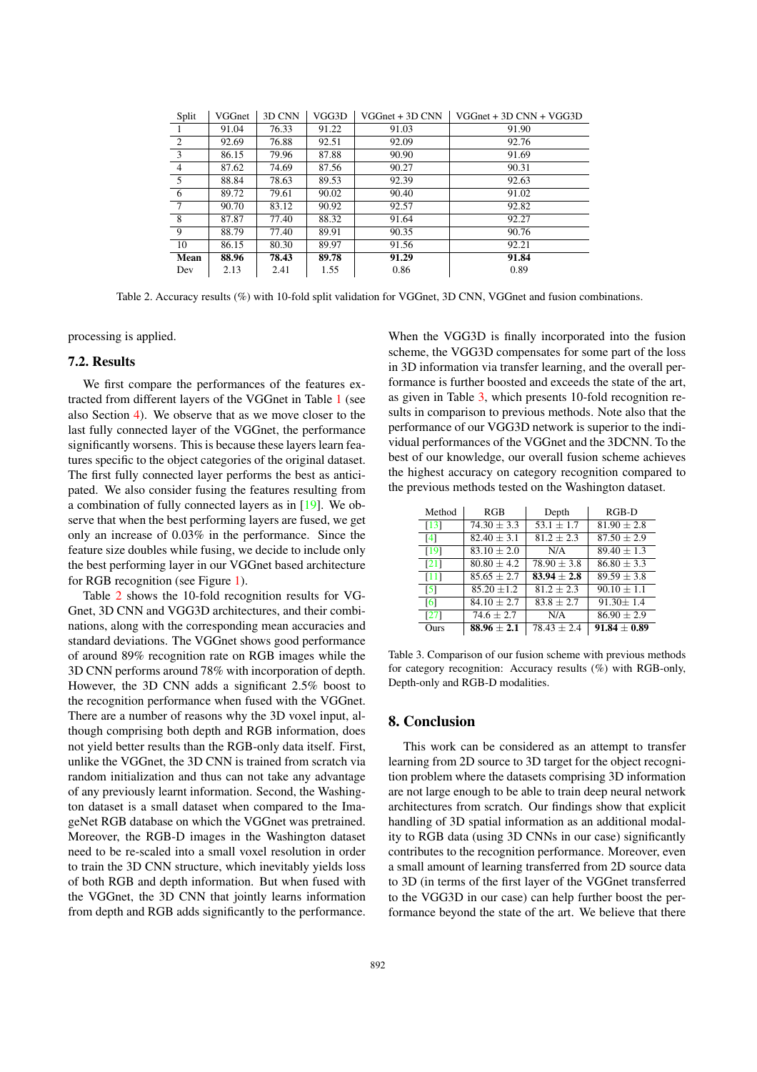| Split | VGGnet | 3D CNN | VGG3D | $VGGnet + 3D CNN$ | $VGGnet + 3D CNN + VGG3D$ |
|-------|--------|--------|-------|-------------------|---------------------------|
|       | 91.04  | 76.33  | 91.22 | 91.03             | 91.90                     |
| 2     | 92.69  | 76.88  | 92.51 | 92.09             | 92.76                     |
| 3     | 86.15  | 79.96  | 87.88 | 90.90             | 91.69                     |
| 4     | 87.62  | 74.69  | 87.56 | 90.27             | 90.31                     |
| 5     | 88.84  | 78.63  | 89.53 | 92.39             | 92.63                     |
| 6     | 89.72  | 79.61  | 90.02 | 90.40             | 91.02                     |
| 7     | 90.70  | 83.12  | 90.92 | 92.57             | 92.82                     |
| 8     | 87.87  | 77.40  | 88.32 | 91.64             | 92.27                     |
| 9     | 88.79  | 77.40  | 89.91 | 90.35             | 90.76                     |
| 10    | 86.15  | 80.30  | 89.97 | 91.56             | 92.21                     |
| Mean  | 88.96  | 78.43  | 89.78 | 91.29             | 91.84                     |
| Dev   | 2.13   | 2.41   | 1.55  | 0.86              | 0.89                      |

Table 2. Accuracy results (%) with 10-fold split validation for VGGnet, 3D CNN, VGGnet and fusion combinations.

processing is applied.

# 7.2. Results

We first compare the performances of the features extracted from different layers of the VGGnet in Table 1 (see also Section 4). We observe that as we move closer to the last fully connected layer of the VGGnet, the performance significantly worsens. This is because these layers learn features specific to the object categories of the original dataset. The first fully connected layer performs the best as anticipated. We also consider fusing the features resulting from a combination of fully connected layers as in [19]. We observe that when the best performing layers are fused, we get only an increase of 0.03% in the performance. Since the feature size doubles while fusing, we decide to include only the best performing layer in our VGGnet based architecture for RGB recognition (see Figure 1).

Table 2 shows the 10-fold recognition results for VG-Gnet, 3D CNN and VGG3D architectures, and their combinations, along with the corresponding mean accuracies and standard deviations. The VGGnet shows good performance of around 89% recognition rate on RGB images while the 3D CNN performs around 78% with incorporation of depth. However, the 3D CNN adds a significant 2.5% boost to the recognition performance when fused with the VGGnet. There are a number of reasons why the 3D voxel input, although comprising both depth and RGB information, does not yield better results than the RGB-only data itself. First, unlike the VGGnet, the 3D CNN is trained from scratch via random initialization and thus can not take any advantage of any previously learnt information. Second, the Washington dataset is a small dataset when compared to the ImageNet RGB database on which the VGGnet was pretrained. Moreover, the RGB-D images in the Washington dataset need to be re-scaled into a small voxel resolution in order to train the 3D CNN structure, which inevitably yields loss of both RGB and depth information. But when fused with the VGGnet, the 3D CNN that jointly learns information from depth and RGB adds significantly to the performance. When the VGG3D is finally incorporated into the fusion scheme, the VGG3D compensates for some part of the loss in 3D information via transfer learning, and the overall performance is further boosted and exceeds the state of the art, as given in Table 3, which presents 10-fold recognition results in comparison to previous methods. Note also that the performance of our VGG3D network is superior to the individual performances of the VGGnet and the 3DCNN. To the best of our knowledge, our overall fusion scheme achieves the highest accuracy on category recognition compared to the previous methods tested on the Washington dataset.

| Method             | RGB             | Depth           | $RGB-D$          |
|--------------------|-----------------|-----------------|------------------|
| $\lceil 13 \rceil$ | $74.30 \pm 3.3$ | $53.1 \pm 1.7$  | $81.90 \pm 2.8$  |
| $\lceil 4 \rceil$  | $82.40 \pm 3.1$ | $81.2 \pm 2.3$  | $87.50 \pm 2.9$  |
| [19]               | $83.10 + 2.0$   | N/A             | $89.40 + 1.3$    |
| $\sqrt{211}$       | $80.80 \pm 4.2$ | $78.90 \pm 3.8$ | $86.80 \pm 3.3$  |
| [11]               | $85.65 \pm 2.7$ | $83.94 + 2.8$   | $89.59 + 3.8$    |
| [5]                | $85.20 \pm 1.2$ | $81.2 \pm 2.3$  | $90.10 \pm 1.1$  |
| [6]                | $84.10 + 2.7$   | $83.8 + 2.7$    | $91.30 + 1.4$    |
| [27]               | $74.6 \pm 2.7$  | N/A             | $86.90 \pm 2.9$  |
| Ours               | $88.96 \pm 2.1$ | $78.43 \pm 2.4$ | $91.84 \pm 0.89$ |

Table 3. Comparison of our fusion scheme with previous methods for category recognition: Accuracy results (%) with RGB-only, Depth-only and RGB-D modalities.

#### 8. Conclusion

This work can be considered as an attempt to transfer learning from 2D source to 3D target for the object recognition problem where the datasets comprising 3D information are not large enough to be able to train deep neural network architectures from scratch. Our findings show that explicit handling of 3D spatial information as an additional modality to RGB data (using 3D CNNs in our case) significantly contributes to the recognition performance. Moreover, even a small amount of learning transferred from 2D source data to 3D (in terms of the first layer of the VGGnet transferred to the VGG3D in our case) can help further boost the performance beyond the state of the art. We believe that there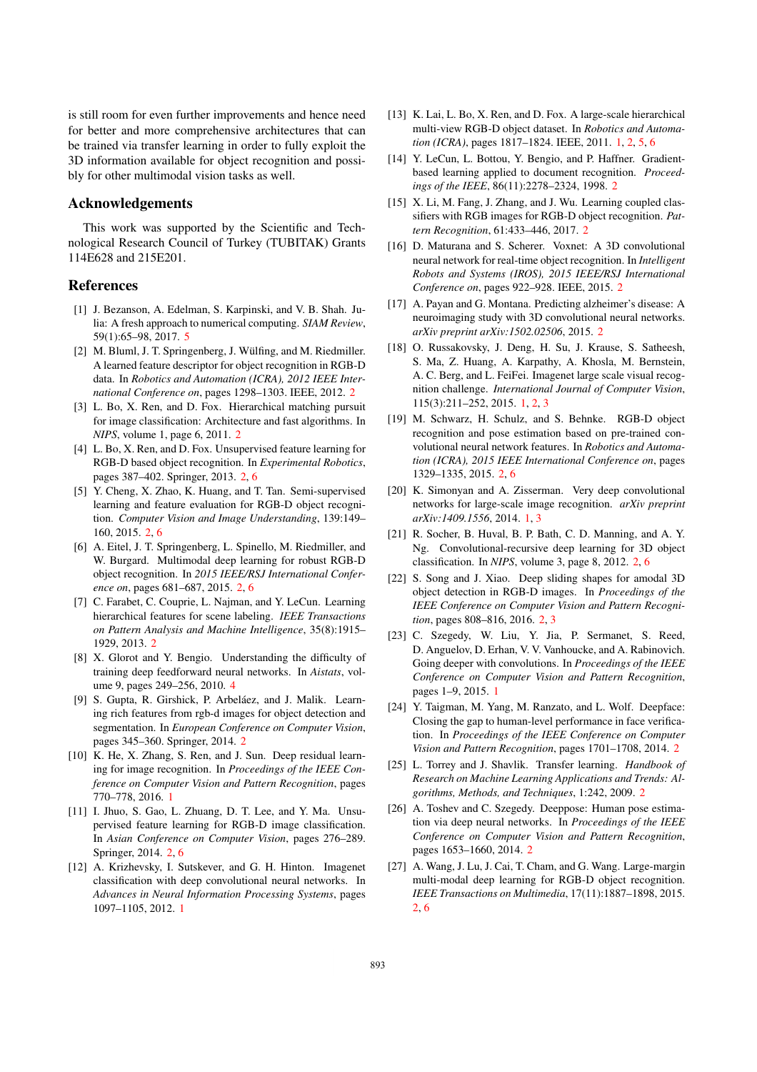is still room for even further improvements and hence need for better and more comprehensive architectures that can be trained via transfer learning in order to fully exploit the 3D information available for object recognition and possibly for other multimodal vision tasks as well.

#### Acknowledgements

This work was supported by the Scientific and Technological Research Council of Turkey (TUBITAK) Grants 114E628 and 215E201.

### References

- [1] J. Bezanson, A. Edelman, S. Karpinski, and V. B. Shah. Julia: A fresh approach to numerical computing. *SIAM Review*, 59(1):65–98, 2017. 5
- [2] M. Bluml, J. T. Springenberg, J. Wülfing, and M. Riedmiller. A learned feature descriptor for object recognition in RGB-D data. In *Robotics and Automation (ICRA), 2012 IEEE International Conference on*, pages 1298–1303. IEEE, 2012. 2
- [3] L. Bo, X. Ren, and D. Fox. Hierarchical matching pursuit for image classification: Architecture and fast algorithms. In *NIPS*, volume 1, page 6, 2011. 2
- [4] L. Bo, X. Ren, and D. Fox. Unsupervised feature learning for RGB-D based object recognition. In *Experimental Robotics*, pages 387–402. Springer, 2013. 2, 6
- [5] Y. Cheng, X. Zhao, K. Huang, and T. Tan. Semi-supervised learning and feature evaluation for RGB-D object recognition. *Computer Vision and Image Understanding*, 139:149– 160, 2015. 2, 6
- [6] A. Eitel, J. T. Springenberg, L. Spinello, M. Riedmiller, and W. Burgard. Multimodal deep learning for robust RGB-D object recognition. In *2015 IEEE/RSJ International Conference on*, pages 681–687, 2015. 2, 6
- [7] C. Farabet, C. Couprie, L. Najman, and Y. LeCun. Learning hierarchical features for scene labeling. *IEEE Transactions on Pattern Analysis and Machine Intelligence*, 35(8):1915– 1929, 2013. 2
- [8] X. Glorot and Y. Bengio. Understanding the difficulty of training deep feedforward neural networks. In *Aistats*, volume 9, pages 249–256, 2010. 4
- [9] S. Gupta, R. Girshick, P. Arbeláez, and J. Malik. Learning rich features from rgb-d images for object detection and segmentation. In *European Conference on Computer Vision*, pages 345–360. Springer, 2014. 2
- [10] K. He, X. Zhang, S. Ren, and J. Sun. Deep residual learning for image recognition. In *Proceedings of the IEEE Conference on Computer Vision and Pattern Recognition*, pages 770–778, 2016. 1
- [11] I. Jhuo, S. Gao, L. Zhuang, D. T. Lee, and Y. Ma. Unsupervised feature learning for RGB-D image classification. In *Asian Conference on Computer Vision*, pages 276–289. Springer, 2014. 2, 6
- [12] A. Krizhevsky, I. Sutskever, and G. H. Hinton. Imagenet classification with deep convolutional neural networks. In *Advances in Neural Information Processing Systems*, pages 1097–1105, 2012. 1
- [13] K. Lai, L. Bo, X. Ren, and D. Fox. A large-scale hierarchical multi-view RGB-D object dataset. In *Robotics and Automation (ICRA)*, pages 1817–1824. IEEE, 2011. 1, 2, 5, 6
- [14] Y. LeCun, L. Bottou, Y. Bengio, and P. Haffner. Gradientbased learning applied to document recognition. *Proceedings of the IEEE*, 86(11):2278–2324, 1998. 2
- [15] X. Li, M. Fang, J. Zhang, and J. Wu. Learning coupled classifiers with RGB images for RGB-D object recognition. *Pattern Recognition*, 61:433–446, 2017. 2
- [16] D. Maturana and S. Scherer. Voxnet: A 3D convolutional neural network for real-time object recognition. In *Intelligent Robots and Systems (IROS), 2015 IEEE/RSJ International Conference on*, pages 922–928. IEEE, 2015. 2
- [17] A. Payan and G. Montana. Predicting alzheimer's disease: A neuroimaging study with 3D convolutional neural networks. *arXiv preprint arXiv:1502.02506*, 2015. 2
- [18] O. Russakovsky, J. Deng, H. Su, J. Krause, S. Satheesh, S. Ma, Z. Huang, A. Karpathy, A. Khosla, M. Bernstein, A. C. Berg, and L. FeiFei. Imagenet large scale visual recognition challenge. *International Journal of Computer Vision*, 115(3):211–252, 2015. 1, 2, 3
- [19] M. Schwarz, H. Schulz, and S. Behnke. RGB-D object recognition and pose estimation based on pre-trained convolutional neural network features. In *Robotics and Automation (ICRA), 2015 IEEE International Conference on*, pages 1329–1335, 2015. 2, 6
- [20] K. Simonyan and A. Zisserman. Very deep convolutional networks for large-scale image recognition. *arXiv preprint arXiv:1409.1556*, 2014. 1, 3
- [21] R. Socher, B. Huval, B. P. Bath, C. D. Manning, and A. Y. Ng. Convolutional-recursive deep learning for 3D object classification. In *NIPS*, volume 3, page 8, 2012. 2, 6
- [22] S. Song and J. Xiao. Deep sliding shapes for amodal 3D object detection in RGB-D images. In *Proceedings of the IEEE Conference on Computer Vision and Pattern Recognition*, pages 808–816, 2016. 2, 3
- [23] C. Szegedy, W. Liu, Y. Jia, P. Sermanet, S. Reed, D. Anguelov, D. Erhan, V. V. Vanhoucke, and A. Rabinovich. Going deeper with convolutions. In *Proceedings of the IEEE Conference on Computer Vision and Pattern Recognition*, pages 1–9, 2015. 1
- [24] Y. Taigman, M. Yang, M. Ranzato, and L. Wolf. Deepface: Closing the gap to human-level performance in face verification. In *Proceedings of the IEEE Conference on Computer Vision and Pattern Recognition*, pages 1701–1708, 2014. 2
- [25] L. Torrey and J. Shavlik. Transfer learning. *Handbook of Research on Machine Learning Applications and Trends: Algorithms, Methods, and Techniques*, 1:242, 2009. 2
- [26] A. Toshev and C. Szegedy. Deeppose: Human pose estimation via deep neural networks. In *Proceedings of the IEEE Conference on Computer Vision and Pattern Recognition*, pages 1653–1660, 2014. 2
- [27] A. Wang, J. Lu, J. Cai, T. Cham, and G. Wang. Large-margin multi-modal deep learning for RGB-D object recognition. *IEEE Transactions on Multimedia*, 17(11):1887–1898, 2015. 2, 6